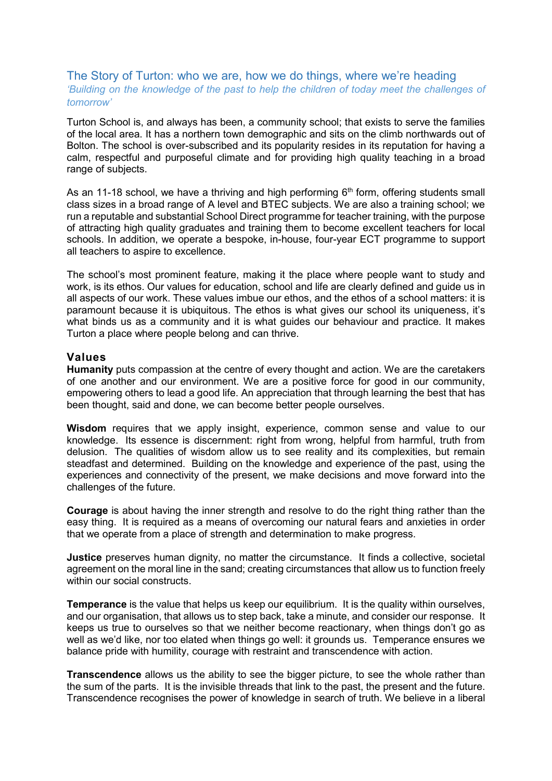## The Story of Turton: who we are, how we do things, where we're heading *'Building on the knowledge of the past to help the children of today meet the challenges of tomorrow'*

Turton School is, and always has been, a community school; that exists to serve the families of the local area. It has a northern town demographic and sits on the climb northwards out of Bolton. The school is over-subscribed and its popularity resides in its reputation for having a calm, respectful and purposeful climate and for providing high quality teaching in a broad range of subjects.

As an 11-18 school, we have a thriving and high performing  $6<sup>th</sup>$  form, offering students small class sizes in a broad range of A level and BTEC subjects. We are also a training school; we run a reputable and substantial School Direct programme for teacher training, with the purpose of attracting high quality graduates and training them to become excellent teachers for local schools. In addition, we operate a bespoke, in-house, four-year ECT programme to support all teachers to aspire to excellence.

The school's most prominent feature, making it the place where people want to study and work, is its ethos. Our values for education, school and life are clearly defined and guide us in all aspects of our work. These values imbue our ethos, and the ethos of a school matters: it is paramount because it is ubiquitous. The ethos is what gives our school its uniqueness, it's what binds us as a community and it is what guides our behaviour and practice. It makes Turton a place where people belong and can thrive.

# **Values**

**Humanity** puts compassion at the centre of every thought and action. We are the caretakers of one another and our environment. We are a positive force for good in our community, empowering others to lead a good life. An appreciation that through learning the best that has been thought, said and done, we can become better people ourselves.

**Wisdom** requires that we apply insight, experience, common sense and value to our knowledge. Its essence is discernment: right from wrong, helpful from harmful, truth from delusion. The qualities of wisdom allow us to see reality and its complexities, but remain steadfast and determined. Building on the knowledge and experience of the past, using the experiences and connectivity of the present, we make decisions and move forward into the challenges of the future.

**Courage** is about having the inner strength and resolve to do the right thing rather than the easy thing. It is required as a means of overcoming our natural fears and anxieties in order that we operate from a place of strength and determination to make progress.

**Justice** preserves human dignity, no matter the circumstance. It finds a collective, societal agreement on the moral line in the sand; creating circumstances that allow us to function freely within our social constructs.

**Temperance** is the value that helps us keep our equilibrium. It is the quality within ourselves, and our organisation, that allows us to step back, take a minute, and consider our response. It keeps us true to ourselves so that we neither become reactionary, when things don't go as well as we'd like, nor too elated when things go well: it grounds us. Temperance ensures we balance pride with humility, courage with restraint and transcendence with action.

**Transcendence** allows us the ability to see the bigger picture, to see the whole rather than the sum of the parts. It is the invisible threads that link to the past, the present and the future. Transcendence recognises the power of knowledge in search of truth. We believe in a liberal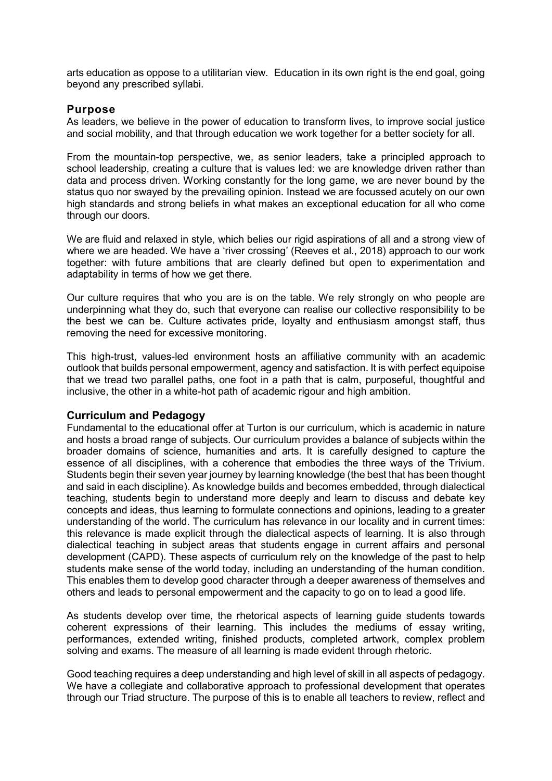arts education as oppose to a utilitarian view. Education in its own right is the end goal, going beyond any prescribed syllabi.

## **Purpose**

As leaders, we believe in the power of education to transform lives, to improve social justice and social mobility, and that through education we work together for a better society for all.

From the mountain-top perspective, we, as senior leaders, take a principled approach to school leadership, creating a culture that is values led: we are knowledge driven rather than data and process driven. Working constantly for the long game, we are never bound by the status quo nor swayed by the prevailing opinion. Instead we are focussed acutely on our own high standards and strong beliefs in what makes an exceptional education for all who come through our doors.

We are fluid and relaxed in style, which belies our rigid aspirations of all and a strong view of where we are headed. We have a 'river crossing' (Reeves et al., 2018) approach to our work together: with future ambitions that are clearly defined but open to experimentation and adaptability in terms of how we get there.

Our culture requires that who you are is on the table. We rely strongly on who people are underpinning what they do, such that everyone can realise our collective responsibility to be the best we can be. Culture activates pride, loyalty and enthusiasm amongst staff, thus removing the need for excessive monitoring.

This high-trust, values-led environment hosts an affiliative community with an academic outlook that builds personal empowerment, agency and satisfaction. It is with perfect equipoise that we tread two parallel paths, one foot in a path that is calm, purposeful, thoughtful and inclusive, the other in a white-hot path of academic rigour and high ambition.

#### **Curriculum and Pedagogy**

Fundamental to the educational offer at Turton is our curriculum, which is academic in nature and hosts a broad range of subjects. Our curriculum provides a balance of subjects within the broader domains of science, humanities and arts. It is carefully designed to capture the essence of all disciplines, with a coherence that embodies the three ways of the Trivium. Students begin their seven year journey by learning knowledge (the best that has been thought and said in each discipline). As knowledge builds and becomes embedded, through dialectical teaching, students begin to understand more deeply and learn to discuss and debate key concepts and ideas, thus learning to formulate connections and opinions, leading to a greater understanding of the world. The curriculum has relevance in our locality and in current times: this relevance is made explicit through the dialectical aspects of learning. It is also through dialectical teaching in subject areas that students engage in current affairs and personal development (CAPD). These aspects of curriculum rely on the knowledge of the past to help students make sense of the world today, including an understanding of the human condition. This enables them to develop good character through a deeper awareness of themselves and others and leads to personal empowerment and the capacity to go on to lead a good life.

As students develop over time, the rhetorical aspects of learning guide students towards coherent expressions of their learning. This includes the mediums of essay writing, performances, extended writing, finished products, completed artwork, complex problem solving and exams. The measure of all learning is made evident through rhetoric.

Good teaching requires a deep understanding and high level of skill in all aspects of pedagogy. We have a collegiate and collaborative approach to professional development that operates through our Triad structure. The purpose of this is to enable all teachers to review, reflect and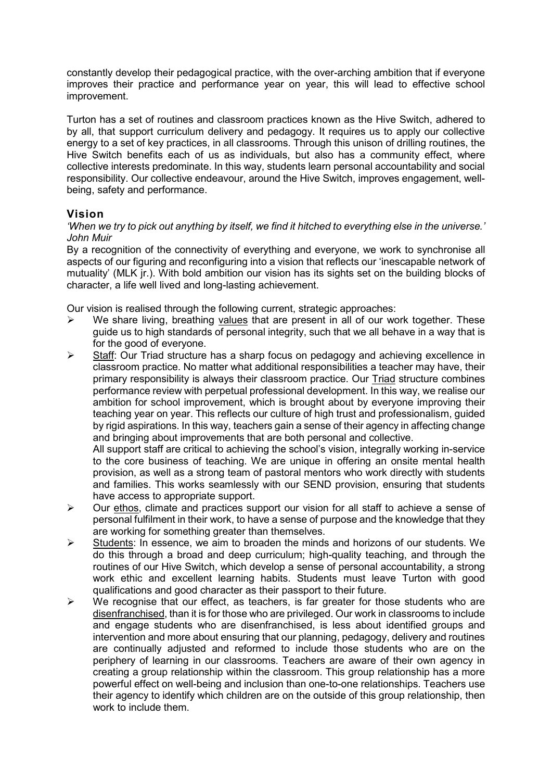constantly develop their pedagogical practice, with the over-arching ambition that if everyone improves their practice and performance year on year, this will lead to effective school improvement.

Turton has a set of routines and classroom practices known as the Hive Switch, adhered to by all, that support curriculum delivery and pedagogy. It requires us to apply our collective energy to a set of key practices, in all classrooms. Through this unison of drilling routines, the Hive Switch benefits each of us as individuals, but also has a community effect, where collective interests predominate. In this way, students learn personal accountability and social responsibility. Our collective endeavour, around the Hive Switch, improves engagement, wellbeing, safety and performance.

# **Vision**

### *'When we try to pick out anything by itself, we find it hitched to everything else in the universe.' John Muir*

By a recognition of the connectivity of everything and everyone, we work to synchronise all aspects of our figuring and reconfiguring into a vision that reflects our 'inescapable network of mutuality' (MLK jr.). With bold ambition our vision has its sights set on the building blocks of character, a life well lived and long-lasting achievement.

Our vision is realised through the following current, strategic approaches:

- $\triangleright$  We share living, breathing values that are present in all of our work together. These guide us to high standards of personal integrity, such that we all behave in a way that is for the good of everyone.
- $\triangleright$  Staff: Our Triad structure has a sharp focus on pedagogy and achieving excellence in classroom practice. No matter what additional responsibilities a teacher may have, their primary responsibility is always their classroom practice. Our Triad structure combines performance review with perpetual professional development. In this way, we realise our ambition for school improvement, which is brought about by everyone improving their teaching year on year. This reflects our culture of high trust and professionalism, guided by rigid aspirations. In this way, teachers gain a sense of their agency in affecting change and bringing about improvements that are both personal and collective.

All support staff are critical to achieving the school's vision, integrally working in-service to the core business of teaching. We are unique in offering an onsite mental health provision, as well as a strong team of pastoral mentors who work directly with students and families. This works seamlessly with our SEND provision, ensuring that students have access to appropriate support.

- $\triangleright$  Our ethos, climate and practices support our vision for all staff to achieve a sense of personal fulfilment in their work, to have a sense of purpose and the knowledge that they are working for something greater than themselves.
- $\triangleright$  Students: In essence, we aim to broaden the minds and horizons of our students. We do this through a broad and deep curriculum; high-quality teaching, and through the routines of our Hive Switch, which develop a sense of personal accountability, a strong work ethic and excellent learning habits. Students must leave Turton with good qualifications and good character as their passport to their future.
- $\triangleright$  We recognise that our effect, as teachers, is far greater for those students who are disenfranchised, than it is for those who are privileged. Our work in classrooms to include and engage students who are disenfranchised, is less about identified groups and intervention and more about ensuring that our planning, pedagogy, delivery and routines are continually adjusted and reformed to include those students who are on the periphery of learning in our classrooms. Teachers are aware of their own agency in creating a group relationship within the classroom. This group relationship has a more powerful effect on well-being and inclusion than one-to-one relationships. Teachers use their agency to identify which children are on the outside of this group relationship, then work to include them.